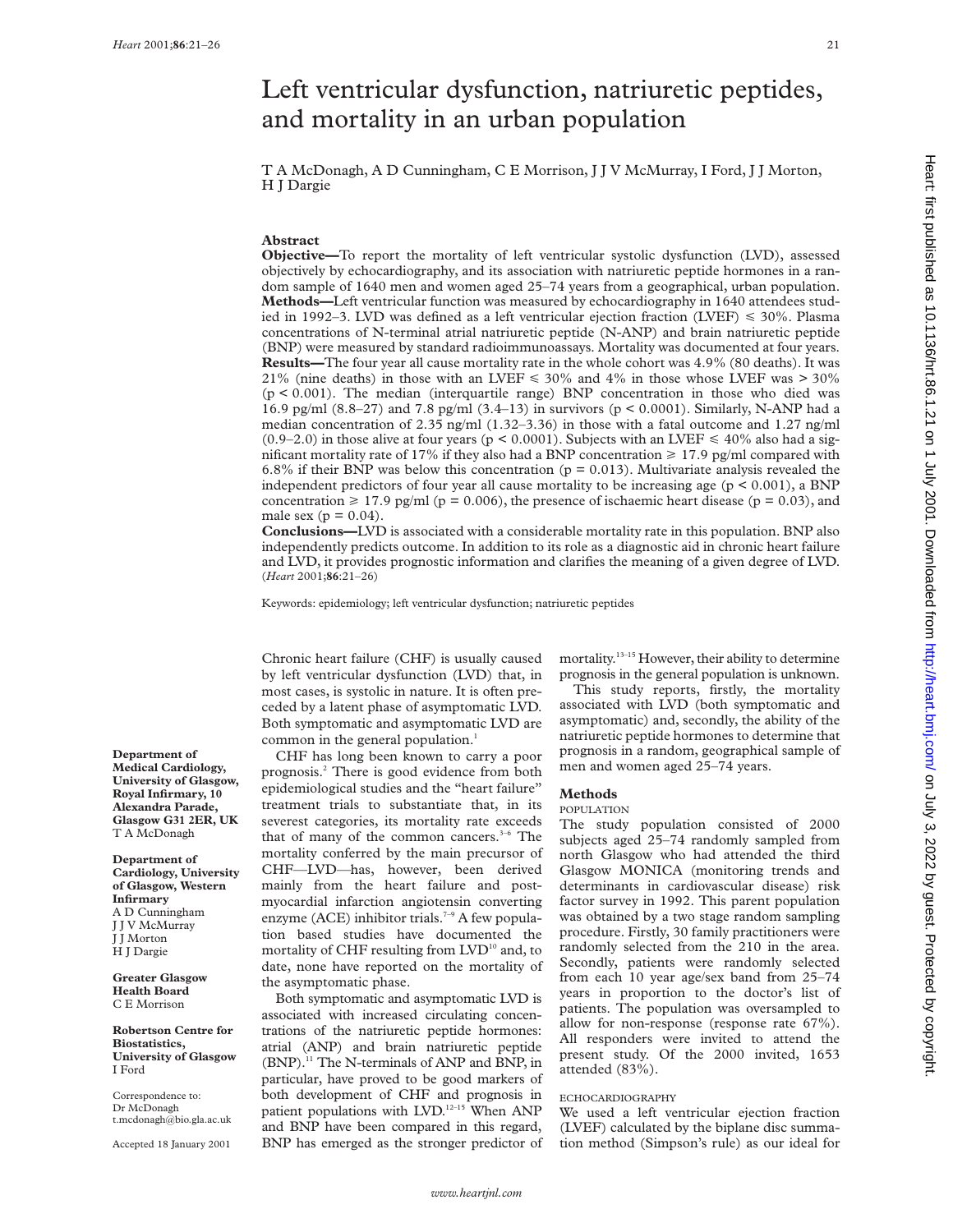# Left ventricular dysfunction, natriuretic peptides, and mortality in an urban population

T A McDonagh, A D Cunningham, C E Morrison, J J V McMurray, I Ford, J J Morton, H J Dargie

# **Abstract**

**Objective—**To report the mortality of left ventricular systolic dysfunction (LVD), assessed objectively by echocardiography, and its association with natriuretic peptide hormones in a random sample of 1640 men and women aged 25–74 years from a geographical, urban population. **Methods—**Left ventricular function was measured by echocardiography in 1640 attendees studied in 1992–3. LVD was defined as a left ventricular ejection fraction (LVEF)  $\leq 30\%$ . Plasma concentrations of N-terminal atrial natriuretic peptide (N-ANP) and brain natriuretic peptide (BNP) were measured by standard radioimmunoassays. Mortality was documented at four years. **Results—**The four year all cause mortality rate in the whole cohort was 4.9% (80 deaths). It was 21% (nine deaths) in those with an LVEF  $\leq$  30% and 4% in those whose LVEF was > 30% (p < 0.001). The median (interquartile range) BNP concentration in those who died was 16.9 pg/ml (8.8–27) and 7.8 pg/ml (3.4–13) in survivors (p < 0.0001). Similarly, N-ANP had a median concentration of 2.35 ng/ml (1.32–3.36) in those with a fatal outcome and 1.27 ng/ml  $(0.9-2.0)$  in those alive at four years (p < 0.0001). Subjects with an LVEF  $\leq 40\%$  also had a significant mortality rate of 17% if they also had a BNP concentration  $\geq$  17.9 pg/ml compared with 6.8% if their BNP was below this concentration ( $p = 0.013$ ). Multivariate analysis revealed the independent predictors of four year all cause mortality to be increasing age ( $p < 0.001$ ), a BNP concentration  $\geq 17.9$  pg/ml (p = 0.006), the presence of ischaemic heart disease (p = 0.03), and male sex ( $p = 0.04$ ).

**Conclusions—**LVD is associated with a considerable mortality rate in this population. BNP also independently predicts outcome. In addition to its role as a diagnostic aid in chronic heart failure and LVD, it provides prognostic information and clarifies the meaning of a given degree of LVD. (*Heart* 2001;**86**:21–26)

Keywords: epidemiology; left ventricular dysfunction; natriuretic peptides

Chronic heart failure (CHF) is usually caused by left ventricular dysfunction (LVD) that, in most cases, is systolic in nature. It is often preceded by a latent phase of asymptomatic LVD. Both symptomatic and asymptomatic LVD are common in the general population.<sup>1</sup>

CHF has long been known to carry a poor prognosis.2 There is good evidence from both epidemiological studies and the "heart failure" treatment trials to substantiate that, in its severest categories, its mortality rate exceeds that of many of the common cancers.<sup>3-6</sup> The mortality conferred by the main precursor of CHF—LVD—has, however, been derived mainly from the heart failure and postmyocardial infarction angiotensin converting enzyme (ACE) inhibitor trials.<sup>7-9</sup> A few population based studies have documented the mortality of CHF resulting from  $LVD^{10}$  and, to date, none have reported on the mortality of the asymptomatic phase.

Both symptomatic and asymptomatic LVD is associated with increased circulating concentrations of the natriuretic peptide hormones: atrial (ANP) and brain natriuretic peptide (BNP).11 The N-terminals of ANP and BNP, in particular, have proved to be good markers of both development of CHF and prognosis in patient populations with LVD.<sup>12-15</sup> When ANP and BNP have been compared in this regard, BNP has emerged as the stronger predictor of mortality.13–15 However, their ability to determine prognosis in the general population is unknown.

This study reports, firstly, the mortality associated with LVD (both symptomatic and asymptomatic) and, secondly, the ability of the natriuretic peptide hormones to determine that prognosis in a random, geographical sample of men and women aged 25–74 years.

# **Methods**

POPUL ATION

The study population consisted of 2000 subjects aged 25–74 randomly sampled from north Glasgow who had attended the third Glasgow MONICA (monitoring trends and determinants in cardiovascular disease) risk factor survey in 1992. This parent population was obtained by a two stage random sampling procedure. Firstly, 30 family practitioners were randomly selected from the 210 in the area. Secondly, patients were randomly selected from each 10 year age/sex band from 25–74 years in proportion to the doctor's list of patients. The population was oversampled to allow for non-response (response rate 67%). All responders were invited to attend the present study. Of the 2000 invited, 1653 attended (83%).

# ECHOCARDIOGRAPHY

We used a left ventricular ejection fraction (LVEF) calculated by the biplane disc summation method (Simpson's rule) as our ideal for

**Department of Medical Cardiology, University of Glasgow, Royal Infirmary, 10 Alexandra Parade, Glasgow G31 2ER, UK** T A McDonagh

### **Department of Cardiology, University of Glasgow, Western Infirmary** A D Cunningham J J V McMurray J J Morton H J Dargie

**Greater Glasgow Health Board** C E Morrison

### **Robertson Centre for Biostatistics, University of Glasgow** I Ford

Correspondence to: Dr McDonagh t.mcdonagh@bio.gla.ac.uk

Accepted 18 January 2001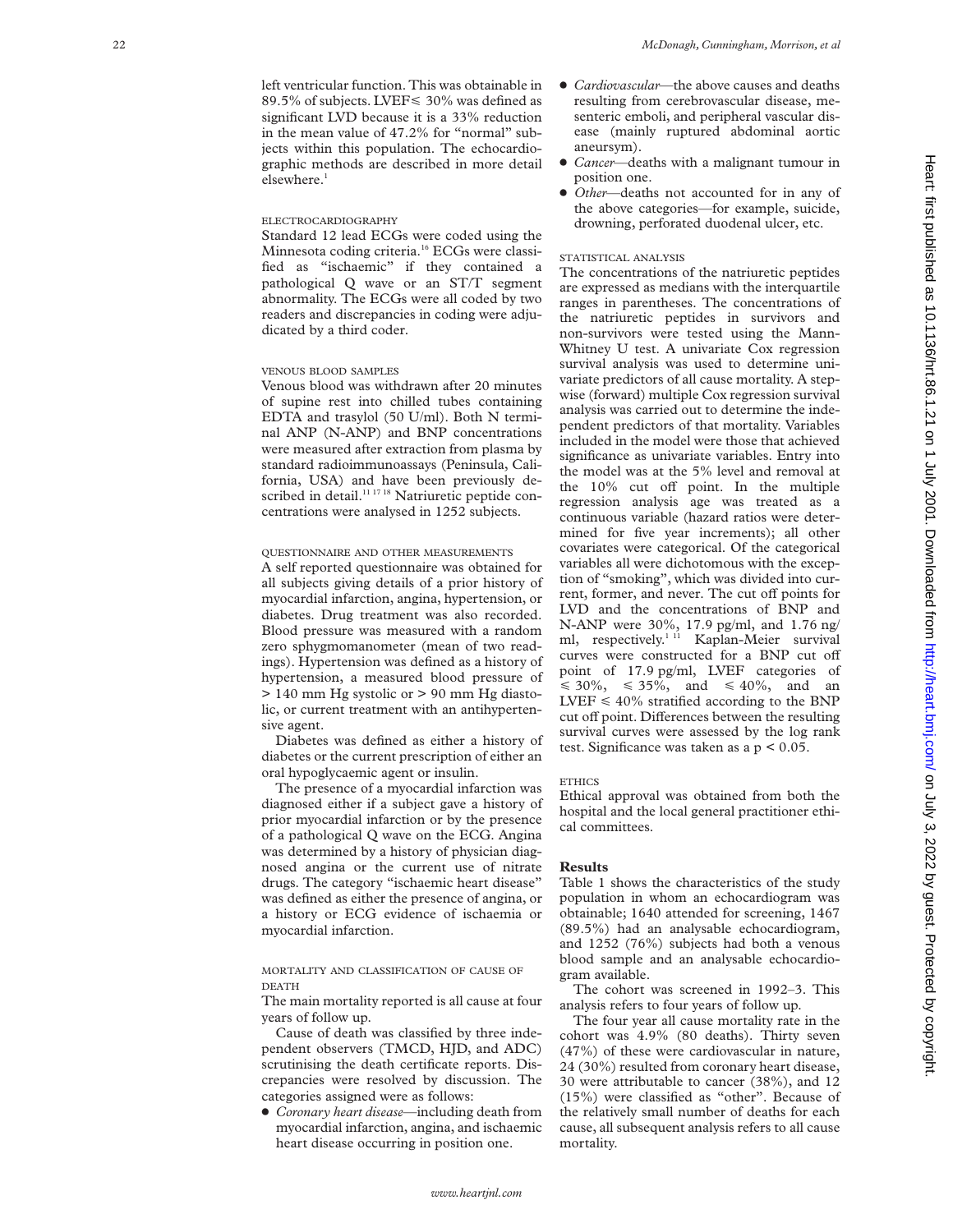left ventricular function. This was obtainable in 89.5% of subjects. LVEF < 30% was defined as significant LVD because it is a 33% reduction in the mean value of 47.2% for "normal" subjects within this population. The echocardiographic methods are described in more detail elsewhere. 1

# ELECTROCARDIOGRAPHY

Standard 12 lead ECGs were coded using the Minnesota coding criteria.<sup>16</sup> ECGs were classified as "ischaemic" if they contained a pathological Q wave or an ST/T segment abnormality. The ECGs were all coded by two readers and discrepancies in coding were adjudicated by a third coder.

# VENOUS BLOOD SAMPLES

Venous blood was withdrawn after 20 minutes of supine rest into chilled tubes containing EDTA and trasylol (50 U/ml). Both N terminal ANP (N-ANP) and BNP concentrations were measured after extraction from plasma by standard radioimmunoassays (Peninsula, California, USA) and have been previously described in detail.<sup>11 17 18</sup> Natriuretic peptide concentrations were analysed in 1252 subjects.

#### QUESTIONNAIRE AND OTHER MEASUREMENTS

A self reported questionnaire was obtained for all subjects giving details of a prior history of myocardial infarction, angina, hypertension, or diabetes. Drug treatment was also recorded. Blood pressure was measured with a random zero sphygmomanometer (mean of two readings). Hypertension was defined as a history of hypertension, a measured blood pressure of > 140 mm Hg systolic or > 90 mm Hg diastolic, or current treatment with an antihypertensive agent.

Diabetes was defined as either a history of diabetes or the current prescription of either an oral hypoglycaemic agent or insulin.

The presence of a myocardial infarction was diagnosed either if a subject gave a history of prior myocardial infarction or by the presence of a pathological Q wave on the ECG. Angina was determined by a history of physician diagnosed angina or the current use of nitrate drugs. The category "ischaemic heart disease" was defined as either the presence of angina, or a history or ECG evidence of ischaemia or myocardial infarction.

MORTALITY AND CLASSIFICATION OF CAUSE OF DEATH

The main mortality reported is all cause at four years of follow up.

Cause of death was classified by three independent observers (TMCD, HJD, and ADC) scrutinising the death certificate reports. Discrepancies were resolved by discussion. The categories assigned were as follows:

x *Coronary heart disease*—including death from myocardial infarction, angina, and ischaemic heart disease occurring in position one.

- x *Cardiovascular*—the above causes and deaths resulting from cerebrovascular disease, mesenteric emboli, and peripheral vascular disease (mainly ruptured abdominal aortic aneursym).
- x *Cancer*—deaths with a malignant tumour in position one.
- *Other*—deaths not accounted for in any of the above categories—for example, suicide, drowning, perforated duodenal ulcer, etc.

# STATISTICAL ANALYSIS

The concentrations of the natriuretic peptides are expressed as medians with the interquartile ranges in parentheses. The concentrations of the natriuretic peptides in survivors and non-survivors were tested using the Mann-Whitney U test. A univariate Cox regression survival analysis was used to determine univariate predictors of all cause mortality. A stepwise (forward) multiple Cox regression survival analysis was carried out to determine the independent predictors of that mortality. Variables included in the model were those that achieved significance as univariate variables. Entry into the model was at the 5% level and removal at the 10% cut off point. In the multiple regression analysis age was treated as a continuous variable (hazard ratios were determined for five year increments); all other covariates were categorical. Of the categorical variables all were dichotomous with the exception of "smoking", which was divided into current, former, and never. The cut off points for LVD and the concentrations of BNP and N-ANP were 30%, 17.9 pg/ml, and 1.76 ng/ ml, respectively.<sup>1 11</sup> Kaplan-Meier survival curves were constructed for a BNP cut off point of 17.9 pg/ml, LVEF categories of  $\leq 30\%, \leq 35\%, \text{ and } \leq 40\%, \text{ and } \text{ an}$  $LVEF \leq 40\%$  stratified according to the BNP cut off point. Differences between the resulting survival curves were assessed by the log rank test. Significance was taken as a  $p < 0.05$ .

#### **ETHICS**

Ethical approval was obtained from both the hospital and the local general practitioner ethical committees.

## **Results**

Table 1 shows the characteristics of the study population in whom an echocardiogram was obtainable; 1640 attended for screening, 1467 (89.5%) had an analysable echocardiogram, and 1252 (76%) subjects had both a venous blood sample and an analysable echocardiogram available.

The cohort was screened in 1992–3. This analysis refers to four years of follow up.

The four year all cause mortality rate in the cohort was 4.9% (80 deaths). Thirty seven (47%) of these were cardiovascular in nature, 24 (30%) resulted from coronary heart disease, 30 were attributable to cancer (38%), and 12 (15%) were classified as "other". Because of the relatively small number of deaths for each cause, all subsequent analysis refers to all cause mortality.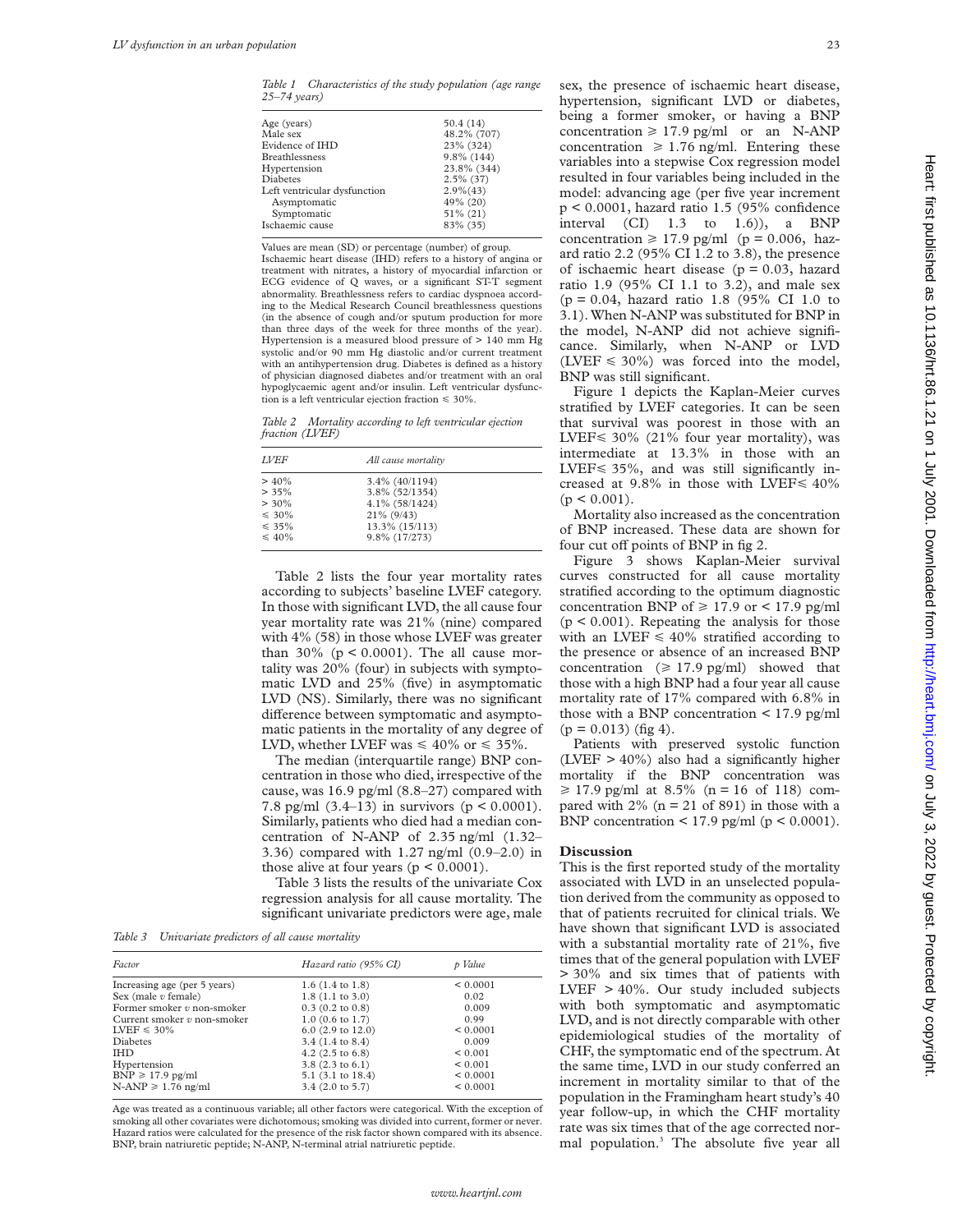*Table 1 Characteristics of the study population (age range 25–74 years)*

| 50.4(14)      |
|---------------|
| 48.2% (707)   |
| 23% (324)     |
| $9.8\%$ (144) |
| 23.8% (344)   |
| $2.5\%$ (37)  |
| $2.9\%(43)$   |
| 49% (20)      |
| $51\% (21)$   |
| 83% (35)      |
|               |

Values are mean (SD) or percentage (number) of group.

Ischaemic heart disease (IHD) refers to a history of angina or treatment with nitrates, a history of myocardial infarction or ECG evidence of Q waves, or a significant ST-T segment abnormality. Breathlessness refers to cardiac dyspnoea according to the Medical Research Council breathlessness questions (in the absence of cough and/or sputum production for more than three days of the week for three months of the year). Hypertension is a measured blood pressure of > 140 mm Hg systolic and/or 90 mm Hg diastolic and/or current treatment with an antihypertension drug. Diabetes is defined as a history of physician diagnosed diabetes and/or treatment with an oral hypoglycaemic agent and/or insulin. Left ventricular dysfunction is a left ventricular ejection fraction  $\leq 30\%$ .

*Table 2 Mortality according to left ventricular ejection fraction (LVEF)*

| <b>LVEF</b> | All cause mortality |  |
|-------------|---------------------|--|
| $> 40\%$    | $3.4\%$ (40/1194)   |  |
| $> 35\%$    | 3.8% (52/1354)      |  |
| $> 30\%$    | 4.1% (58/1424)      |  |
| $\leq 30\%$ | $21\%$ (9/43)       |  |
| $\leq 35\%$ | 13.3% (15/113)      |  |
| $\leq 40\%$ | 9.8% (17/273)       |  |

Table 2 lists the four year mortality rates according to subjects' baseline LVEF category. In those with significant LVD, the all cause four year mortality rate was 21% (nine) compared with 4% (58) in those whose LVEF was greater than 30% ( $p < 0.0001$ ). The all cause mortality was 20% (four) in subjects with symptomatic LVD and 25% (five) in asymptomatic LVD (NS). Similarly, there was no significant difference between symptomatic and asymptomatic patients in the mortality of any degree of LVD, whether LVEF was  $\leq 40\%$  or  $\leq 35\%$ .

The median (interquartile range) BNP concentration in those who died, irrespective of the cause, was 16.9 pg/ml (8.8–27) compared with 7.8 pg/ml  $(3.4-13)$  in survivors  $(p < 0.0001)$ . Similarly, patients who died had a median concentration of N-ANP of 2.35 ng/ml (1.32– 3.36) compared with 1.27 ng/ml (0.9–2.0) in those alive at four years  $(p < 0.0001)$ .

Table 3 lists the results of the univariate Cox regression analysis for all cause mortality. The significant univariate predictors were age, male

*Table 3 Univariate predictors of all cause mortality*

| Factor                        | Hazard ratio (95% CI)        | p Value      |
|-------------------------------|------------------------------|--------------|
| Increasing age (per 5 years)  | $1.6$ (1.4 to 1.8)           | < 0.0001     |
| Sex (male $v$ female)         | $1.8(1.1 \text{ to } 3.0)$   | 0.02         |
| Former smoker $v$ non-smoker  | $0.3$ (0.2 to 0.8)           | 0.009        |
| Current smoker $v$ non-smoker | $1.0$ (0.6 to 1.7)           | 0.99         |
| $LVEF \leq 30\%$              | $6.0$ (2.9 to 12.0)          | < 0.0001     |
| <b>Diabetes</b>               | $3.4(1.4 \text{ to } 8.4)$   | 0.009        |
| <b>IHD</b>                    | 4.2 $(2.5 \text{ to } 6.8)$  | ${}_{0.001}$ |
| Hypertension                  | $3.8(2.3 \text{ to } 6.1)$   | ${}_{0.001}$ |
| $BNP \ge 17.9$ pg/ml          | 5.1 $(3.1 \text{ to } 18.4)$ | < 0.0001     |
| $N-AMP \geq 1.76$ ng/ml       | $3.4$ (2.0 to 5.7)           | < 0.0001     |

Age was treated as a continuous variable; all other factors were categorical. With the exception of smoking all other covariates were dichotomous; smoking was divided into current, former or never. Hazard ratios were calculated for the presence of the risk factor shown compared with its absence. BNP, brain natriuretic peptide; N-ANP, N-terminal atrial natriuretic peptide.

sex, the presence of ischaemic heart disease, hypertension, significant LVD or diabetes, being a former smoker, or having a BNP concentration  $\geq 17.9$  pg/ml or an N-ANP concentration  $\geq 1.76$  ng/ml. Entering these variables into a stepwise Cox regression model resulted in four variables being included in the model: advancing age (per five year increment p < 0.0001, hazard ratio 1.5 (95% confidence interval  $(Cl)$  1.3 to 1.6)), a BNP concentration  $\geq 17.9$  pg/ml (p = 0.006, hazard ratio 2.2 (95% CI 1.2 to 3.8), the presence of ischaemic heart disease ( $p = 0.03$ , hazard ratio 1.9 (95% CI 1.1 to 3.2), and male sex  $(p = 0.04, \text{ hazard ratio } 1.8 (95\% \text{ CI } 1.0 \text{ to } 1.0)$ 3.1). When N-ANP was substituted for BNP in the model, N-ANP did not achieve significance. Similarly, when N-ANP or LVD  $(LVEF \le 30\%)$  was forced into the model, BNP was still significant.

Figure 1 depicts the Kaplan-Meier curves stratified by LVEF categories. It can be seen that survival was poorest in those with an LVEF  $\leq 30\%$  (21% four year mortality), was intermediate at 13.3% in those with an LVEF< 35%, and was still significantly increased at 9.8% in those with LVEF $\leq 40\%$  $(p < 0.001)$ .

Mortality also increased as the concentration of BNP increased. These data are shown for four cut off points of BNP in fig 2.

Figure 3 shows Kaplan-Meier survival curves constructed for all cause mortality stratified according to the optimum diagnostic concentration BNP of  $\geq 17.9$  or < 17.9 pg/ml  $(p < 0.001)$ . Repeating the analysis for those with an LVEF  $\leq 40\%$  stratified according to the presence or absence of an increased BNP concentration ( $\geq 17.9$  pg/ml) showed that those with a high BNP had a four year all cause mortality rate of 17% compared with 6.8% in those with a BNP concentration  $\leq 17.9$  pg/ml  $(p = 0.013)$  (fig 4).

Patients with preserved systolic function (LVEF  $> 40\%$ ) also had a significantly higher mortality if the BNP concentration was  $\geq 17.9$  pg/ml at 8.5% (n = 16 of 118) compared with  $2\%$  (n = 21 of 891) in those with a BNP concentration  $\leq$  17.9 pg/ml (p  $\leq$  0.0001).

# **Discussion**

This is the first reported study of the mortality associated with LVD in an unselected population derived from the community as opposed to that of patients recruited for clinical trials. We have shown that significant LVD is associated with a substantial mortality rate of 21%, five times that of the general population with LVEF > 30% and six times that of patients with LVEF > 40%. Our study included subjects with both symptomatic and asymptomatic LVD, and is not directly comparable with other epidemiological studies of the mortality of CHF, the symptomatic end of the spectrum. At the same time, LVD in our study conferred an increment in mortality similar to that of the population in the Framingham heart study's 40 year follow-up, in which the CHF mortality rate was six times that of the age corrected normal population.3 The absolute five year all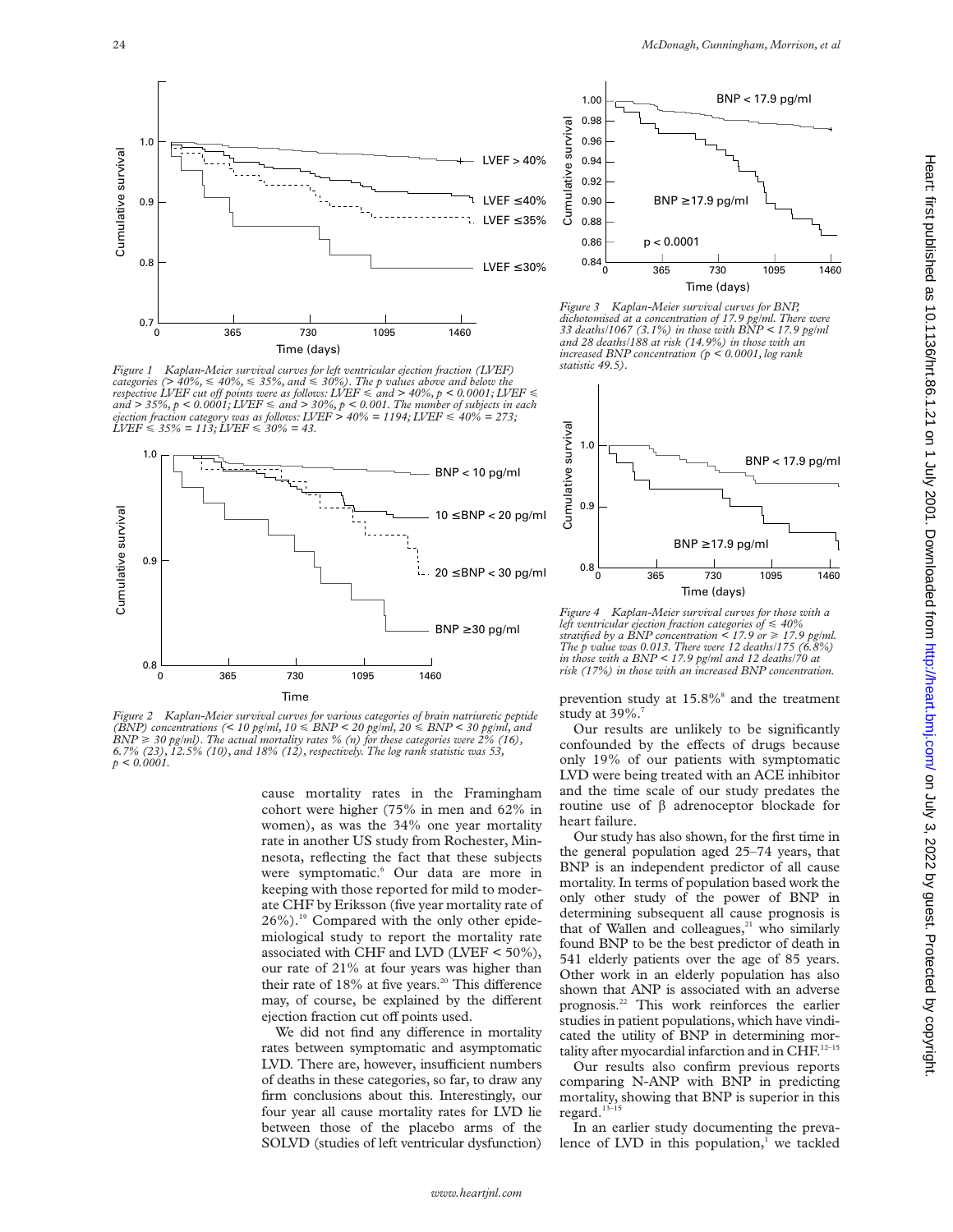

*Figure 1 Kaplan-Meier survival curves for left ventricular ejection fraction (LVEF) categories (> 40%,* < *40%,* < *35%, and* < *30%). The p values above and below the respective LVEF cut off points were as follows: LVEF*  $\leq$  *and* > 40%, p < 0.0001; LVEF and > 35%, p < 0.0001; LVEF ≤ and > 30%, p < 0.001. The number of subjects in each<br>ejection fraction category was as follows: LVEF > 40% = 1194; LVEF ≤ 40% = 273;<br>LVEF ≤ 35% = 113; LVEF ≤ 30% = 43.



*Figure 2 Kaplan-Meier survival curves for various categories of brain natriuretic peptide (BNP) concentrations (< 10 pg/ml, 10* < *BNP < 20 pg/ml, 20* < *BNP < 30 pg/ml, and*  $BNP \geq 30$  pg/ml). The actual mortality rates % (n) for these categories were  $2\%$  (16), *6.7% (23), 12.5% (10), and 18% (12), respectively. The log rank statistic was 53, p < 0.0001.*

cause mortality rates in the Framingham cohort were higher (75% in men and 62% in women), as was the 34% one year mortality rate in another US study from Rochester, Minnesota, reflecting the fact that these subjects were symptomatic.<sup>6</sup> Our data are more in keeping with those reported for mild to moderate CHF by Eriksson (five year mortality rate of 26%).19 Compared with the only other epidemiological study to report the mortality rate associated with CHF and LVD (LVEF < 50%), our rate of 21% at four years was higher than their rate of 18% at five years.<sup>20</sup> This difference may, of course, be explained by the different ejection fraction cut off points used.

We did not find any difference in mortality rates between symptomatic and asymptomatic LVD. There are, however, insufficient numbers of deaths in these categories, so far, to draw any firm conclusions about this. Interestingly, our four year all cause mortality rates for LVD lie between those of the placebo arms of the SOLVD (studies of left ventricular dysfunction)



*Figure 3 Kaplan-Meier survival curves for BNP, dichotomised at a concentration of 17.9 pg/ml. There were 33 deaths/1067 (3.1%) in those with BNP < 17.9 pg/ml and 28 deaths/188 at risk (14.9%) in those with an increased BNP concentration (p < 0.0001, log rank statistic 49.5).*



*Figure 4 Kaplan-Meier survival curves for those with a left ventricular ejection fraction categories of* < *40% stratified by a BNP concentration*  $\leq$  17.9 or  $\geq$  17.9 pg/ml. *The p value was 0.013. There were 12 deaths/175 (6.8%) in those with a BNP < 17.9 pg/ml and 12 deaths/70 at risk (17%) in those with an increased BNP concentration.*

prevention study at  $15.8\%$ <sup>8</sup> and the treatment study at  $39\%$ .

Our results are unlikely to be significantly confounded by the effects of drugs because only 19% of our patients with symptomatic LVD were being treated with an ACE inhibitor and the time scale of our study predates the routine use of  $\beta$  adrenoceptor blockade for heart failure.

Our study has also shown, for the first time in the general population aged 25–74 years, that BNP is an independent predictor of all cause mortality. In terms of population based work the only other study of the power of BNP in determining subsequent all cause prognosis is that of Wallen and colleagues, $21$  who similarly found BNP to be the best predictor of death in 541 elderly patients over the age of 85 years. Other work in an elderly population has also shown that ANP is associated with an adverse prognosis.22 This work reinforces the earlier studies in patient populations, which have vindicated the utility of BNP in determining mortality after myocardial infarction and in CHF.<sup>12-15</sup>

Our results also confirm previous reports comparing N-ANP with BNP in predicting mortality, showing that BNP is superior in this regard. $13-1$ 

In an earlier study documenting the prevalence of LVD in this population, $\frac{1}{1}$  we tackled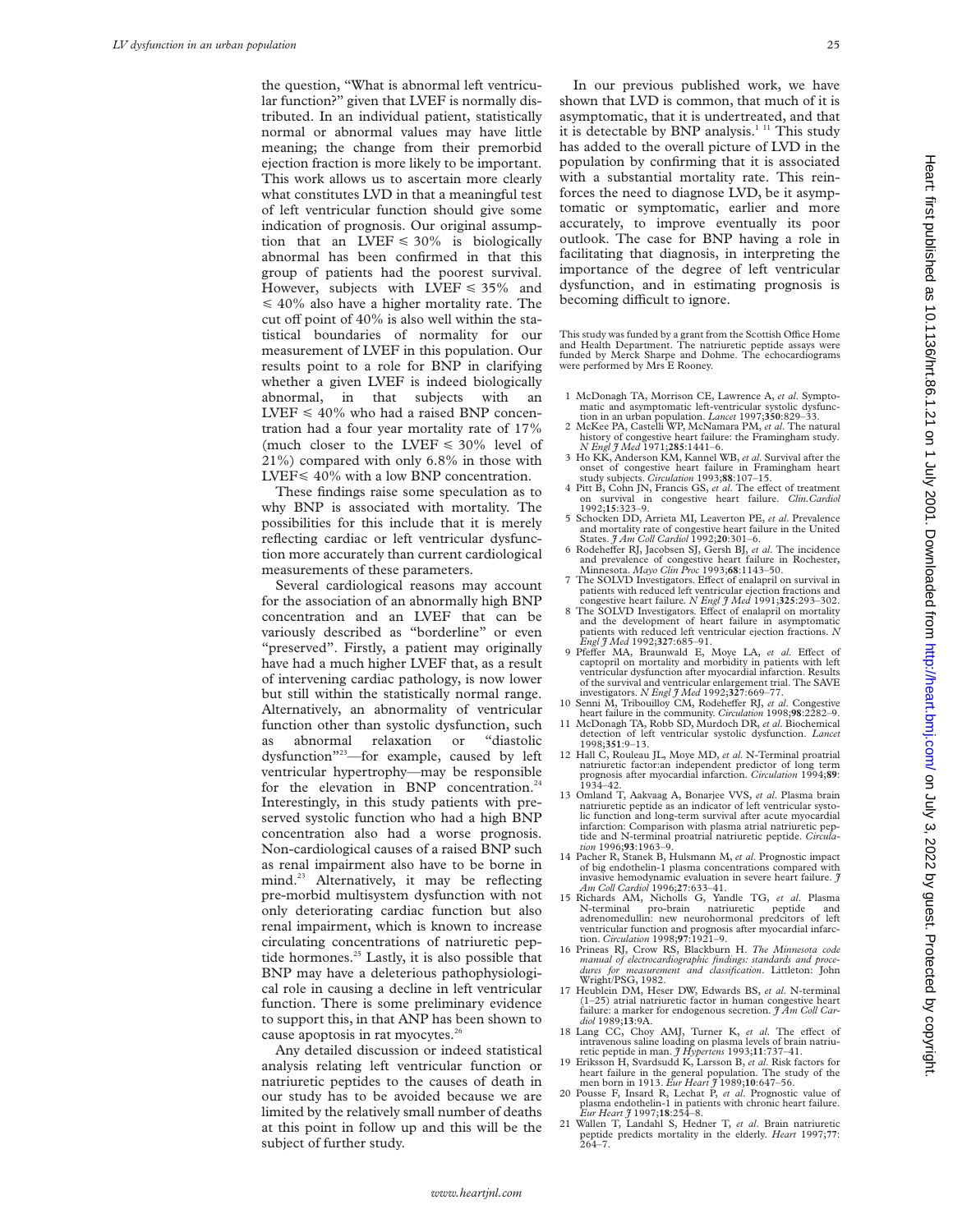the question, "What is abnormal left ventricular function?" given that LVEF is normally distributed. In an individual patient, statistically normal or abnormal values may have little meaning; the change from their premorbid ejection fraction is more likely to be important. This work allows us to ascertain more clearly what constitutes LVD in that a meaningful test of left ventricular function should give some indication of prognosis. Our original assumption that an LVEF  $\leq 30\%$  is biologically abnormal has been confirmed in that this group of patients had the poorest survival. However, subjects with LVEF  $\leq 35\%$  and  $\leq 40\%$  also have a higher mortality rate. The cut off point of  $40\%$  is also well within the statistical boundaries of normality for our measurement of LVEF in this population. Our results point to a role for BNP in clarifying whether a given LVEF is indeed biologically abnormal, in that subjects with an LVEF  $\leq 40\%$  who had a raised BNP concentration had a four year mortality rate of 17% (much closer to the LVEF  $\leq 30\%$  level of 21%) compared with only 6.8% in those with LVEF< 40% with a low BNP concentration.

These findings raise some speculation as to why BNP is associated with mortality. The possibilities for this include that it is merely reflecting cardiac or left ventricular dysfunction more accurately than current cardiological measurements of these parameters.

Several cardiological reasons may account for the association of an abnormally high BNP concentration and an LVEF that can be variously described as "borderline" or even "preserved". Firstly, a patient may originally have had a much higher LVEF that, as a result of intervening cardiac pathology, is now lower but still within the statistically normal range. Alternatively, an abnormality of ventricular function other than systolic dysfunction, such as abnormal relaxation or "diastolic dysfunction"23—for example, caused by left ventricular hypertrophy—may be responsible for the elevation in BNP concentration.<sup>24</sup> Interestingly, in this study patients with preserved systolic function who had a high BNP concentration also had a worse prognosis. Non-cardiological causes of a raised BNP such as renal impairment also have to be borne in mind.<sup>23</sup> Alternatively, it may be reflecting pre-morbid multisystem dysfunction with not only deteriorating cardiac function but also renal impairment, which is known to increase circulating concentrations of natriuretic peptide hormones.<sup>25</sup> Lastly, it is also possible that BNP may have a deleterious pathophysiological role in causing a decline in left ventricular function. There is some preliminary evidence to support this, in that ANP has been shown to cause apoptosis in rat myocytes. $26$ 

Any detailed discussion or indeed statistical analysis relating left ventricular function or natriuretic peptides to the causes of death in our study has to be avoided because we are limited by the relatively small number of deaths at this point in follow up and this will be the subject of further study.

In our previous published work, we have shown that LVD is common, that much of it is asymptomatic, that it is undertreated, and that it is detectable by BNP analysis.<sup>1 11</sup> This study has added to the overall picture of LVD in the population by confirming that it is associated with a substantial mortality rate. This reinforces the need to diagnose LVD, be it asymptomatic or symptomatic, earlier and more accurately, to improve eventually its poor outlook. The case for BNP having a role in facilitating that diagnosis, in interpreting the importance of the degree of left ventricular dysfunction, and in estimating prognosis is becoming difficult to ignore.

This study was funded by a grant from the Scottish Office Home<br>and Health Department. The natriuretic peptide assays were<br>funded by Merck Sharpe and Dohme. The echocardiograms were performed by Mrs E Rooney.

- 1 McDonagh TA, Morrison CE, Lawrence A, *et al*. Sympto-matic and asymptomatic left-ventricular systolic dysfunc-
- tion in an urban population. *Lancet* 1997;**350**:829–33. 2 McKee PA, Castelli WP, McNamara PM, *et al*. The natural history of congestive heart failure: the Framingham study*. N Engl J Med* 1971;**285**:1441–6. 3 Ho KK, Anderson KM, Kannel WB, *et al*. Survival after the
- onset of congestive heart failure in Framingham heart study subjects. *Circulation* 1993;88:107–15. 4 Pitt B, Cohn JN, Francis GS, *et al*. The effect of treatment
- on survival in congestive heart failure. *Clin.Cardiol* 1992;**15**:323–9.
- 5 Schocken DD, Arrieta MI, Leaverton PE, *et al*. Prevalence and mortality rate of congestive heart failure in the United States. *J Am Coll Cardiol* 1992;**20**:301–6.
- 6 Rodeheffer RJ, Jacobsen SJ, Gersh BJ, et al. The incidence and prevalence of congestive heart failure in Rochester,
- Minnesota. *Mayo Clin Proc* 1993;**68**:1143–50.<br>7 The SOLVD Investigators. Effect of enalapril on survival in patients with reduced left ventricular ejection fractions and congestive heart failure*. N Engl J Med* 1991;**325**:293–302.
- 8 The SOLVD Investigators. Effect of enalapril on mortality and the development of heart failure in asymptomatic patients with reduced left ventricular ejection fractions. *N Engl J Med* 1992;**327**:685–91.
- 9 Pfeffer MA, Braunwald E, Moye LA, et al. Effect of captopril on mortality and morbidity in patients with left ventricular dysfunction after myocardial infarction. Results of the survival and ventricular enlargement trial. The SAVE investigators. *N Engl J Med* 1992;**327**:669–77.
- 10 Senni M, Tribouilloy CM, Rodeheffer RJ, *et al.* Congestive heart failure in the community. *Circulation* 1998;98:2282–9.<br>11 McDonagh TA, Robb SD, Murdoch DR, *et al.* Biochemical
- detection of left ventricular systolic dysfunction. *Lancet* 1998;**351**:9–13.
- 12 Hall C, Rouleau JL, Moye MD, *et al*. N-Terminal proatrial natriuretic factor:an independent predictor of long term prognosis after myocardial infarction. *Circulation* 1994;**89**: 1934–42.
- 13 Omland T, Aakvaag A, Bonarjee VVS, *et al*. Plasma brain natriuretic peptide as an indicator of left ventricular systolic function and long-term survival after acute myocardial infarction: Comparison with plasma atrial natriuretic peptide and N-terminal proatrial natriuretic peptide. *Circulation* 1996;**93**:1963–9.
- 14 Pacher R, Stanek B, Hulsmann M, *et al*. Prognostic impact of big endothelin-1 plasma concentrations compared with invasive hemodynamic evaluation in severe heart failure. *J Am Coll Cardiol* 1996;**27**:633–41.
- 15 Richards AM, Nicholls G, Yandle TG, *et al*. Plasma N-terminal pro-brain natriuretic peptide and adrenomedullin: new neurohormonal predcitors of left ventricular function and prognosis after myocardial infarction. *Circulation* 1998;**97**:1921–9.
- 16 Prineas RJ, Crow RS, Blackburn H. *The Minnesota code manual of electrocardiographic findings: standards and proce-dures for measurement and classification*. Littleton: John
- Wright/PSG, 1982. 17 Heublein DM, Heser DW, Edwards BS, *et al*. N-terminal (1–25) atrial natriuretic factor in human congestive heart failure: a marker for endogenous secretion. *J Am Coll Cardiol* 1989;**13**:9A.
- 18 Lang CC, Choy AMJ, Turner K, et al. The effect of
- intravenous saline loading on plasma levels of brain natriu-<br>retic peptide in man. *J Hypertens* 1993;11:737–41.<br>19 Erksson H, Svardsudd K, Larsson B, *et al*. Risk factors for<br>heart failure in the general population. The
- 20 Pousse F, Insard R, Lechat P, *et al*. Prognostic value of plasma endothelin-1 in patients with chronic heart failure. *Eur Heart J* 1997;**18**:254–8.
- 21 Wallen T, Landahl S, Hedner T, *et al*. Brain natriuretic peptide predicts mortality in the elderly. *Heart* 1997;**77**:  $264 - 7$